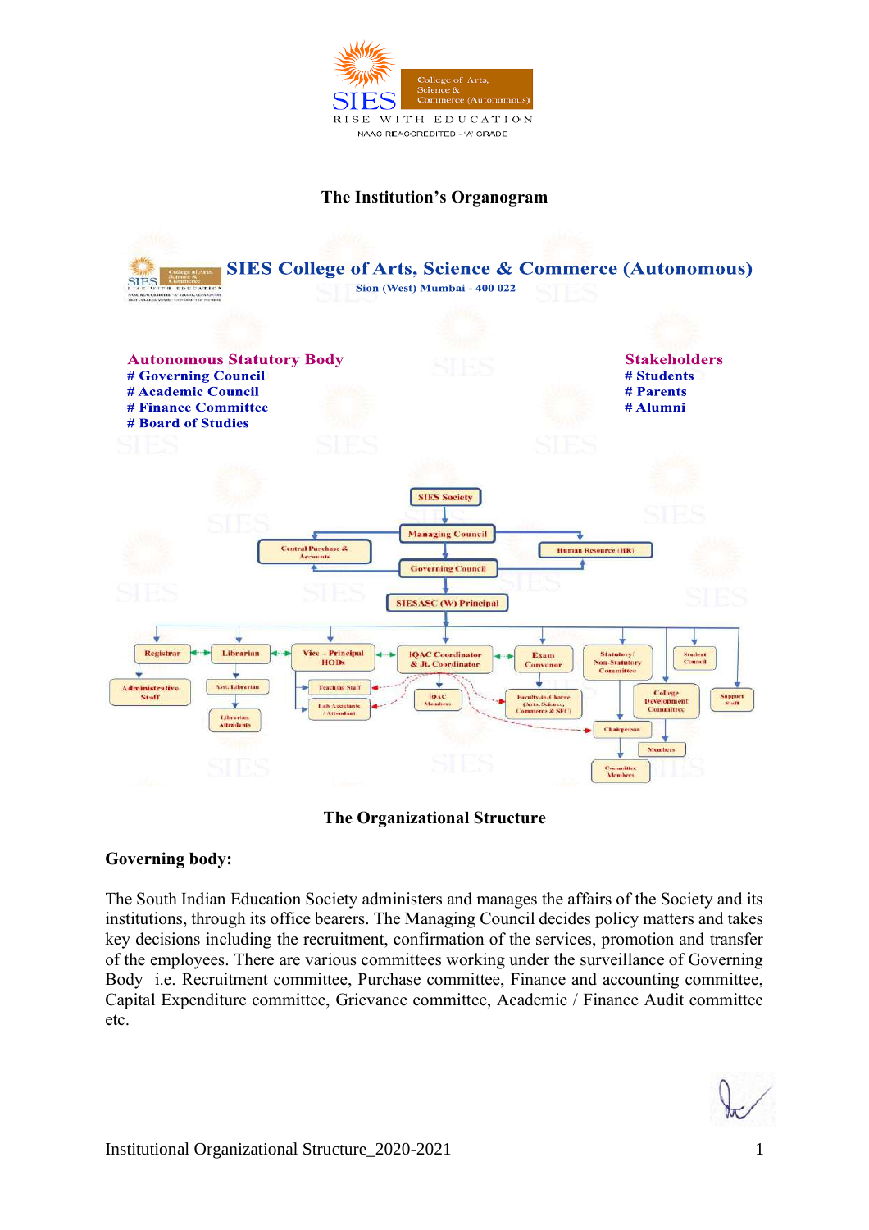

### **The Institution's Organogram**



# **The Organizational Structure**

# **Governing body:**

The South Indian Education Society administers and manages the affairs of the Society and its institutions, through its office bearers. The Managing Council decides policy matters and takes key decisions including the recruitment, confirmation of the services, promotion and transfer of the employees. There are various committees working under the surveillance of Governing Body i.e. Recruitment committee, Purchase committee, Finance and accounting committee, Capital Expenditure committee, Grievance committee, Academic / Finance Audit committee etc.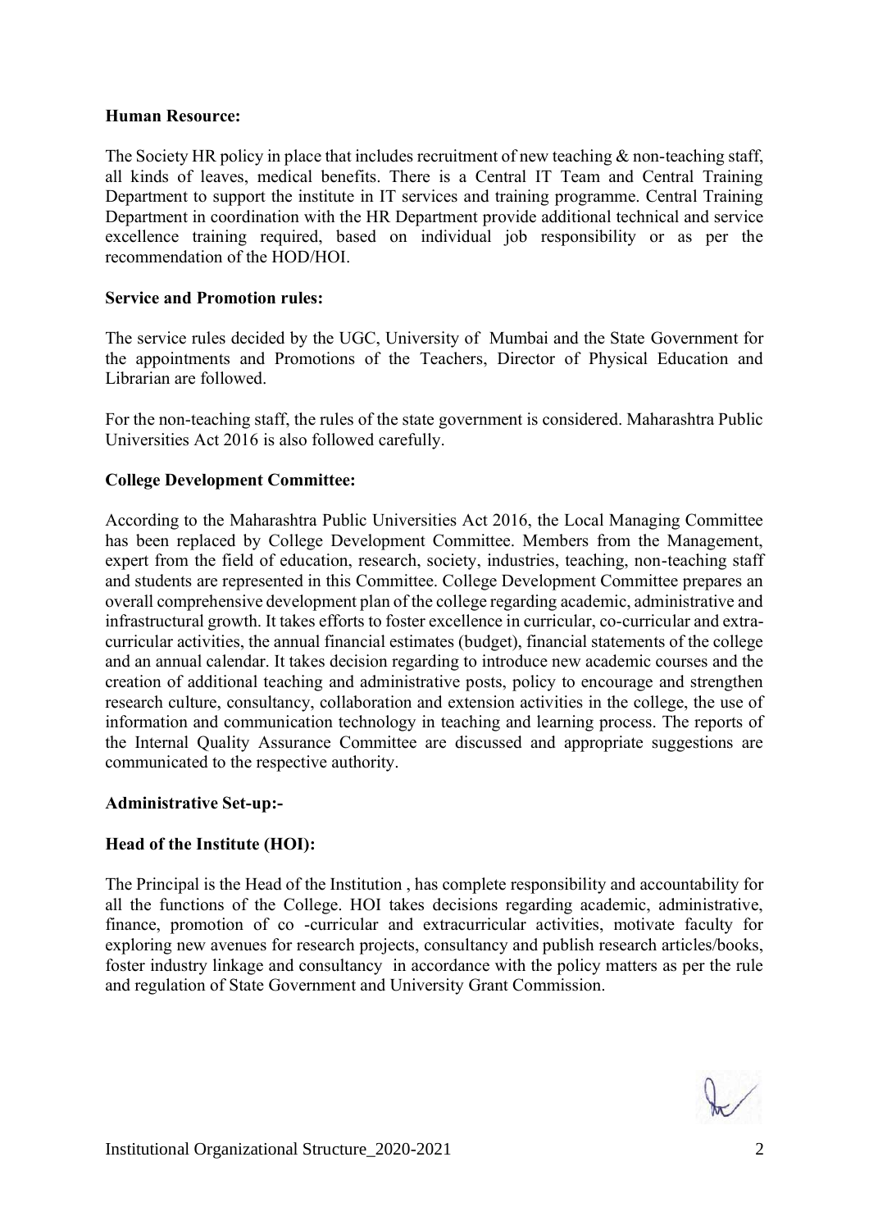### **Human Resource:**

The Society HR policy in place that includes recruitment of new teaching & non-teaching staff, all kinds of leaves, medical benefits. There is a Central IT Team and Central Training Department to support the institute in IT services and training programme. Central Training Department in coordination with the HR Department provide additional technical and service excellence training required, based on individual job responsibility or as per the recommendation of the HOD/HOI.

## **Service and Promotion rules:**

The service rules decided by the UGC, University of Mumbai and the State Government for the appointments and Promotions of the Teachers, Director of Physical Education and Librarian are followed.

For the non-teaching staff, the rules of the state government is considered. Maharashtra Public Universities Act 2016 is also followed carefully.

# **College Development Committee:**

According to the Maharashtra Public Universities Act 2016, the Local Managing Committee has been replaced by College Development Committee. Members from the Management, expert from the field of education, research, society, industries, teaching, non-teaching staff and students are represented in this Committee. College Development Committee prepares an overall comprehensive development plan of the college regarding academic, administrative and infrastructural growth. It takes efforts to foster excellence in curricular, co-curricular and extracurricular activities, the annual financial estimates (budget), financial statements of the college and an annual calendar. It takes decision regarding to introduce new academic courses and the creation of additional teaching and administrative posts, policy to encourage and strengthen research culture, consultancy, collaboration and extension activities in the college, the use of information and communication technology in teaching and learning process. The reports of the Internal Quality Assurance Committee are discussed and appropriate suggestions are communicated to the respective authority.

### **Administrative Set-up:-**

# **Head of the Institute (HOI):**

The Principal is the Head of the Institution , has complete responsibility and accountability for all the functions of the College. HOI takes decisions regarding academic, administrative, finance, promotion of co -curricular and extracurricular activities, motivate faculty for exploring new avenues for research projects, consultancy and publish research articles/books, foster industry linkage and consultancy in accordance with the policy matters as per the rule and regulation of State Government and University Grant Commission.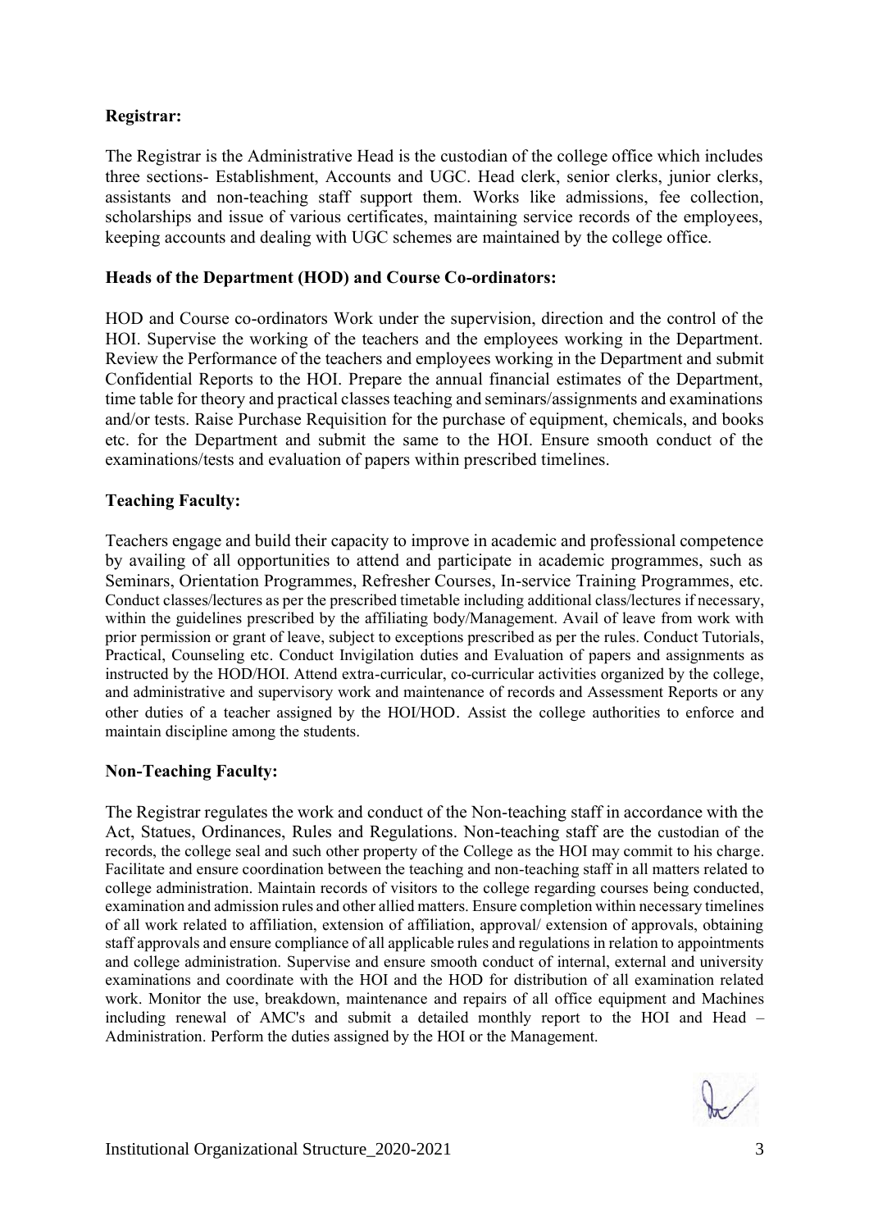# **Registrar:**

The Registrar is the Administrative Head is the custodian of the college office which includes three sections- Establishment, Accounts and UGC. Head clerk, senior clerks, junior clerks, assistants and non-teaching staff support them. Works like admissions, fee collection, scholarships and issue of various certificates, maintaining service records of the employees, keeping accounts and dealing with UGC schemes are maintained by the college office.

## **Heads of the Department (HOD) and Course Co-ordinators:**

HOD and Course co-ordinators Work under the supervision, direction and the control of the HOI. Supervise the working of the teachers and the employees working in the Department. Review the Performance of the teachers and employees working in the Department and submit Confidential Reports to the HOI. Prepare the annual financial estimates of the Department, time table for theory and practical classes teaching and seminars/assignments and examinations and/or tests. Raise Purchase Requisition for the purchase of equipment, chemicals, and books etc. for the Department and submit the same to the HOI. Ensure smooth conduct of the examinations/tests and evaluation of papers within prescribed timelines.

## **Teaching Faculty:**

Teachers engage and build their capacity to improve in academic and professional competence by availing of all opportunities to attend and participate in academic programmes, such as Seminars, Orientation Programmes, Refresher Courses, In-service Training Programmes, etc. Conduct classes/lectures as per the prescribed timetable including additional class/lectures if necessary, within the guidelines prescribed by the affiliating body/Management. Avail of leave from work with prior permission or grant of leave, subject to exceptions prescribed as per the rules. Conduct Tutorials, Practical, Counseling etc. Conduct Invigilation duties and Evaluation of papers and assignments as instructed by the HOD/HOI. Attend extra-curricular, co-curricular activities organized by the college, and administrative and supervisory work and maintenance of records and Assessment Reports or any other duties of a teacher assigned by the HOI/HOD. Assist the college authorities to enforce and maintain discipline among the students.

### **Non-Teaching Faculty:**

The Registrar regulates the work and conduct of the Non-teaching staff in accordance with the Act, Statues, Ordinances, Rules and Regulations. Non-teaching staff are the custodian of the records, the college seal and such other property of the College as the HOI may commit to his charge. Facilitate and ensure coordination between the teaching and non-teaching staff in all matters related to college administration. Maintain records of visitors to the college regarding courses being conducted, examination and admission rules and other allied matters. Ensure completion within necessary timelines of all work related to affiliation, extension of affiliation, approval/ extension of approvals, obtaining staff approvals and ensure compliance of all applicable rules and regulations in relation to appointments and college administration. Supervise and ensure smooth conduct of internal, external and university examinations and coordinate with the HOI and the HOD for distribution of all examination related work. Monitor the use, breakdown, maintenance and repairs of all office equipment and Machines including renewal of AMC's and submit a detailed monthly report to the HOI and Head – Administration. Perform the duties assigned by the HOI or the Management.